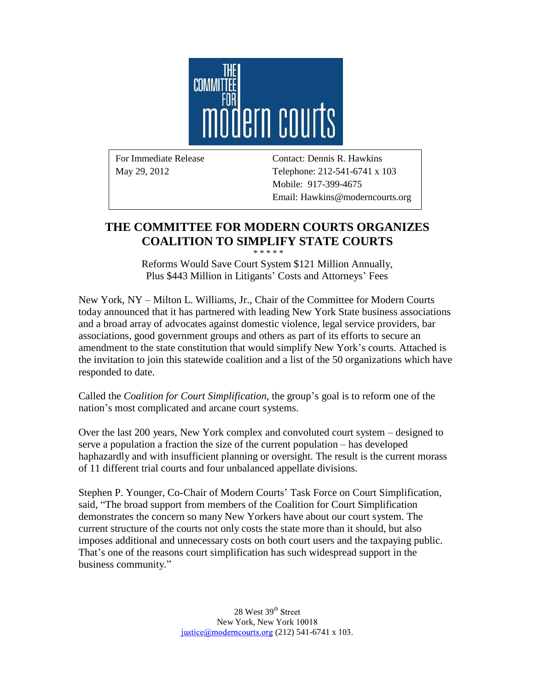

For Immediate Release Contact: Dennis R. Hawkins May 29, 2012 Telephone: 212-541-6741 x 103 Mobile: 917-399-4675 Email: Hawkins@moderncourts.org

## **THE COMMITTEE FOR MODERN COURTS ORGANIZES COALITION TO SIMPLIFY STATE COURTS**

\* \* \* \* \* Reforms Would Save Court System \$121 Million Annually, Plus \$443 Million in Litigants' Costs and Attorneys' Fees

New York, NY – Milton L. Williams, Jr., Chair of the Committee for Modern Courts today announced that it has partnered with leading New York State business associations and a broad array of advocates against domestic violence, legal service providers, bar associations, good government groups and others as part of its efforts to secure an amendment to the state constitution that would simplify New York's courts. Attached is the invitation to join this statewide coalition and a list of the 50 organizations which have responded to date.

Called the *Coalition for Court Simplification*, the group's goal is to reform one of the nation's most complicated and arcane court systems.

Over the last 200 years, New York complex and convoluted court system – designed to serve a population a fraction the size of the current population – has developed haphazardly and with insufficient planning or oversight. The result is the current morass of 11 different trial courts and four unbalanced appellate divisions.

Stephen P. Younger, Co-Chair of Modern Courts' Task Force on Court Simplification, said, "The broad support from members of the Coalition for Court Simplification demonstrates the concern so many New Yorkers have about our court system. The current structure of the courts not only costs the state more than it should, but also imposes additional and unnecessary costs on both court users and the taxpaying public. That's one of the reasons court simplification has such widespread support in the business community."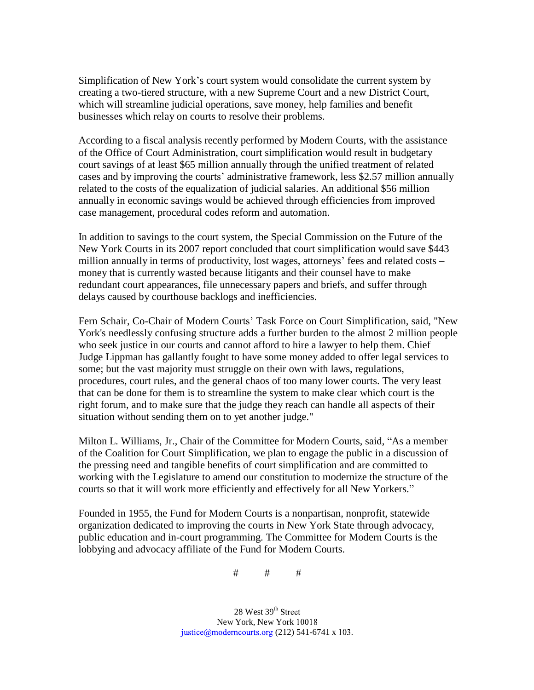Simplification of New York's court system would consolidate the current system by creating a two-tiered structure, with a new Supreme Court and a new District Court, which will streamline judicial operations, save money, help families and benefit businesses which relay on courts to resolve their problems.

According to a fiscal analysis recently performed by Modern Courts, with the assistance of the Office of Court Administration, court simplification would result in budgetary court savings of at least \$65 million annually through the unified treatment of related cases and by improving the courts' administrative framework, less \$2.57 million annually related to the costs of the equalization of judicial salaries. An additional \$56 million annually in economic savings would be achieved through efficiencies from improved case management, procedural codes reform and automation.

In addition to savings to the court system, the Special Commission on the Future of the New York Courts in its 2007 report concluded that court simplification would save \$443 million annually in terms of productivity, lost wages, attorneys' fees and related costs – money that is currently wasted because litigants and their counsel have to make redundant court appearances, file unnecessary papers and briefs, and suffer through delays caused by courthouse backlogs and inefficiencies.

Fern Schair, Co-Chair of Modern Courts' Task Force on Court Simplification, said, "New York's needlessly confusing structure adds a further burden to the almost 2 million people who seek justice in our courts and cannot afford to hire a lawyer to help them. Chief Judge Lippman has gallantly fought to have some money added to offer legal services to some; but the vast majority must struggle on their own with laws, regulations, procedures, court rules, and the general chaos of too many lower courts. The very least that can be done for them is to streamline the system to make clear which court is the right forum, and to make sure that the judge they reach can handle all aspects of their situation without sending them on to yet another judge."

Milton L. Williams, Jr., Chair of the Committee for Modern Courts, said, "As a member of the Coalition for Court Simplification, we plan to engage the public in a discussion of the pressing need and tangible benefits of court simplification and are committed to working with the Legislature to amend our constitution to modernize the structure of the courts so that it will work more efficiently and effectively for all New Yorkers."

Founded in 1955, the Fund for Modern Courts is a nonpartisan, nonprofit, statewide organization dedicated to improving the courts in New York State through advocacy, public education and in-court programming. The Committee for Modern Courts is the lobbying and advocacy affiliate of the Fund for Modern Courts.

# # #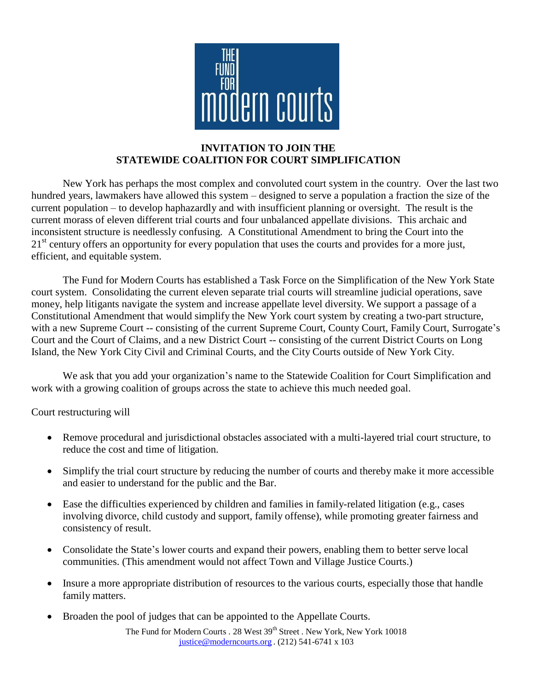

## **INVITATION TO JOIN THE STATEWIDE COALITION FOR COURT SIMPLIFICATION**

New York has perhaps the most complex and convoluted court system in the country. Over the last two hundred years, lawmakers have allowed this system – designed to serve a population a fraction the size of the current population – to develop haphazardly and with insufficient planning or oversight. The result is the current morass of eleven different trial courts and four unbalanced appellate divisions. This archaic and inconsistent structure is needlessly confusing. A Constitutional Amendment to bring the Court into the 21<sup>st</sup> century offers an opportunity for every population that uses the courts and provides for a more just, efficient, and equitable system.

The Fund for Modern Courts has established a Task Force on the Simplification of the New York State court system. Consolidating the current eleven separate trial courts will streamline judicial operations, save money, help litigants navigate the system and increase appellate level diversity. We support a passage of a Constitutional Amendment that would simplify the New York court system by creating a two-part structure, with a new Supreme Court -- consisting of the current Supreme Court, County Court, Family Court, Surrogate's Court and the Court of Claims, and a new District Court -- consisting of the current District Courts on Long Island, the New York City Civil and Criminal Courts, and the City Courts outside of New York City.

We ask that you add your organization's name to the Statewide Coalition for Court Simplification and work with a growing coalition of groups across the state to achieve this much needed goal.

Court restructuring will

- Remove procedural and jurisdictional obstacles associated with a multi-layered trial court structure, to reduce the cost and time of litigation.
- Simplify the trial court structure by reducing the number of courts and thereby make it more accessible and easier to understand for the public and the Bar.
- Ease the difficulties experienced by children and families in family-related litigation (e.g., cases involving divorce, child custody and support, family offense), while promoting greater fairness and consistency of result.
- Consolidate the State's lower courts and expand their powers, enabling them to better serve local communities. (This amendment would not affect Town and Village Justice Courts.)
- Insure a more appropriate distribution of resources to the various courts, especially those that handle family matters.
- Broaden the pool of judges that can be appointed to the Appellate Courts.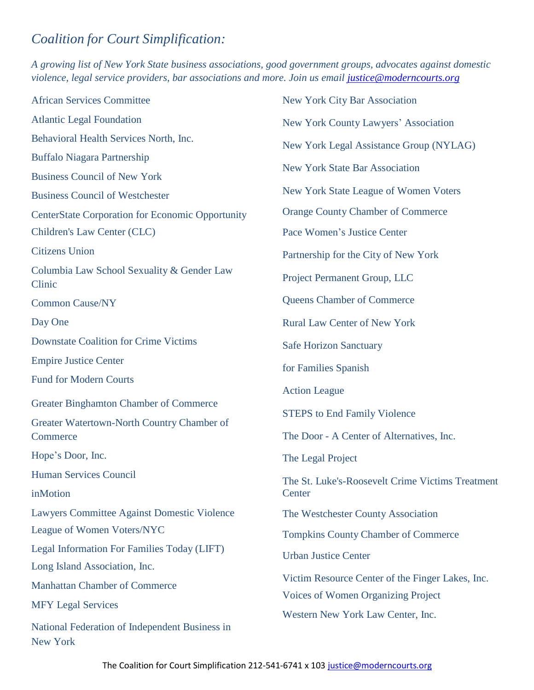## *Coalition for Court Simplification:*

*A growing list of New York State business associations, good government groups, advocates against domestic violence, legal service providers, bar associations and more. Join us email [justice@moderncourts.org](mailto:justice@moderncourts.org)*

| <b>African Services Committee</b>                          | <b>New York City Bar Association</b>                                                                                         |
|------------------------------------------------------------|------------------------------------------------------------------------------------------------------------------------------|
| <b>Atlantic Legal Foundation</b>                           | New York County Lawyers' Association                                                                                         |
| Behavioral Health Services North, Inc.                     | New York Legal Assistance Group (NYLAG)                                                                                      |
| <b>Buffalo Niagara Partnership</b>                         |                                                                                                                              |
| <b>Business Council of New York</b>                        | <b>New York State Bar Association</b>                                                                                        |
| <b>Business Council of Westchester</b>                     | New York State League of Women Voters                                                                                        |
| <b>CenterState Corporation for Economic Opportunity</b>    | <b>Orange County Chamber of Commerce</b>                                                                                     |
| Children's Law Center (CLC)                                | Pace Women's Justice Center                                                                                                  |
| <b>Citizens Union</b>                                      | Partnership for the City of New York                                                                                         |
| Columbia Law School Sexuality & Gender Law<br>Clinic       | Project Permanent Group, LLC                                                                                                 |
| <b>Common Cause/NY</b>                                     | <b>Queens Chamber of Commerce</b>                                                                                            |
| Day One                                                    | <b>Rural Law Center of New York</b>                                                                                          |
| <b>Downstate Coalition for Crime Victims</b>               | <b>Safe Horizon Sanctuary</b>                                                                                                |
| <b>Empire Justice Center</b>                               | for Families Spanish                                                                                                         |
| <b>Fund for Modern Courts</b>                              | <b>Action League</b>                                                                                                         |
| <b>Greater Binghamton Chamber of Commerce</b>              |                                                                                                                              |
| Greater Watertown-North Country Chamber of                 | <b>STEPS</b> to End Family Violence                                                                                          |
| Commerce                                                   | The Door - A Center of Alternatives, Inc.                                                                                    |
| Hope's Door, Inc.                                          | The Legal Project                                                                                                            |
| <b>Human Services Council</b><br>inMotion                  | The St. Luke's-Roosevelt Crime Victims Treatment<br>Center                                                                   |
| <b>Lawyers Committee Against Domestic Violence</b>         | The Westchester County Association                                                                                           |
| League of Women Voters/NYC                                 | <b>Tompkins County Chamber of Commerce</b>                                                                                   |
| Legal Information For Families Today (LIFT)                | <b>Urban Justice Center</b><br>Victim Resource Center of the Finger Lakes, Inc.<br><b>Voices of Women Organizing Project</b> |
| Long Island Association, Inc.                              |                                                                                                                              |
| <b>Manhattan Chamber of Commerce</b>                       |                                                                                                                              |
| <b>MFY Legal Services</b>                                  |                                                                                                                              |
| National Federation of Independent Business in<br>New York | Western New York Law Center, Inc.                                                                                            |